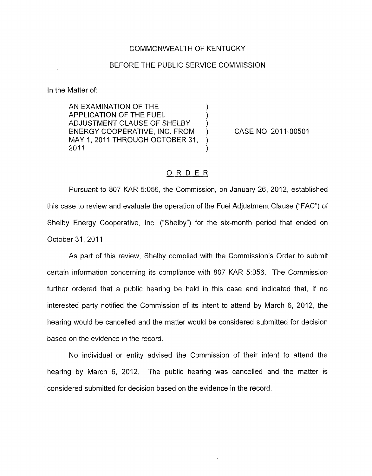## COMMONWEALTH OF KENTUCKY

## BEFORE THE PUBLIC SERVICE COMMISSION

In the Matter of:

AN EXAMINATION OF THE  $\left( \begin{array}{ccc} 0 & 0 & 1 \end{array} \right)$ APPLICATION OF THE FUEL (1)<br>ADJUSTMENT CLAUSE OF SHELBY (1) ADJUSTMENT CLAUSE OF SHELBY ) MAY I ,201 1 THROUGH OCTOBER 31 , ) ENERGY COOPERATIVE, INC. FROM ) CASE NO. 2011-00501  $2011$  )

## ORDER

Pursuant to 807 KAR 5:056, the Commission, on January 26, 2012, established this case to review and evaluate the operation of the Fuel Adjustment Clause ("FAC") of Shelby Energy Cooperative, Inc. ("Shelby") for the six-month period that ended on October 31, 2011.

As part of this review, Shelby complied with the Commission's Order to submit certain information concerning its compliance with 807 KAR 5:056. The Commission further ordered that a public hearing be held in this case and indicated that, if no interested party notified the Commission of its intent to attend by March 6, 2012, the hearing would be cancelled and the matter would be considered submitted for decision based on the evidence in the record.

No individual or entity advised the Commission of their intent to attend the hearing by March 6, 2012. The public hearing was cancelled and the matter is considered submitted for decision based on the evidence in the record.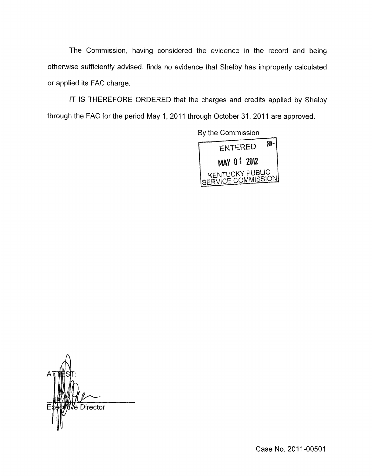The Commission, having considered the evidence in the record and being otherwise sufficiently advised, finds no evidence that Shelby has improperly calculated or applied its FAC charge.

IT IS THEREFORE ORDERED that the charges and credits applied by Shelby through the FAC for the period May 1, 2011 through October 31, 2011 are approved.



Ve Director

Case No. 2011-00501